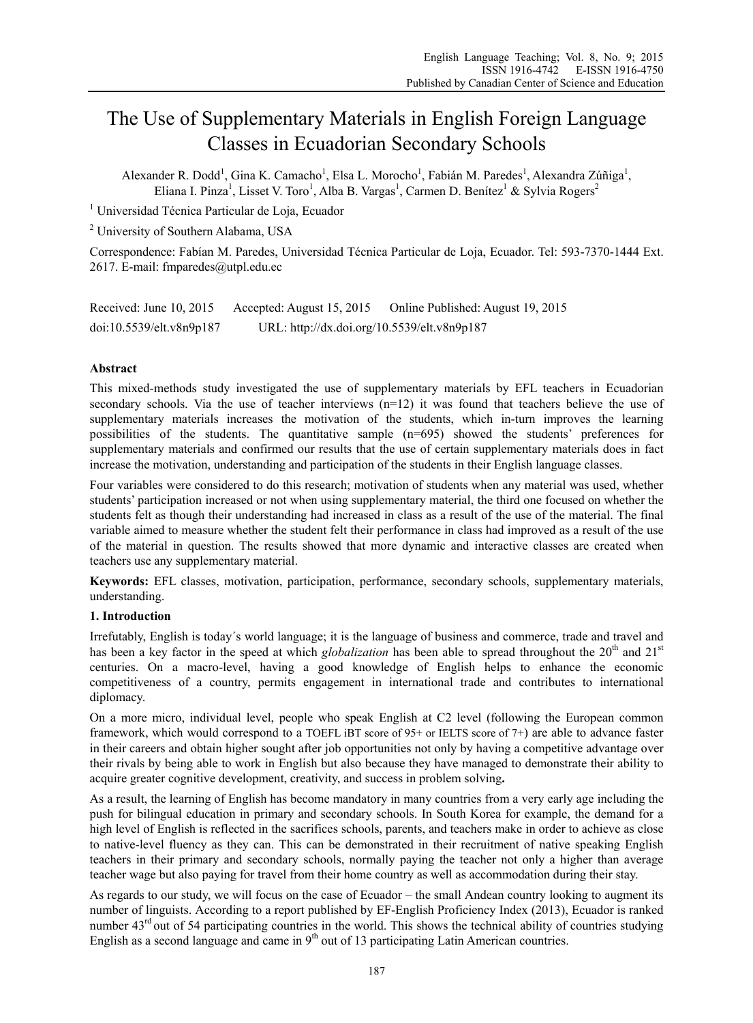# The Use of Supplementary Materials in English Foreign Language Classes in Ecuadorian Secondary Schools

Alexander R. Dodd<sup>1</sup>, Gina K. Camacho<sup>1</sup>, Elsa L. Morocho<sup>1</sup>, Fabián M. Paredes<sup>1</sup>, Alexandra Zúñiga<sup>1</sup>, Eliana I. Pinza<sup>1</sup>, Lisset V. Toro<sup>1</sup>, Alba B. Vargas<sup>1</sup>, Carmen D. Benítez<sup>1</sup> & Sylvia Rogers<sup>2</sup>

<sup>1</sup> Universidad Técnica Particular de Loja, Ecuador

<sup>2</sup> University of Southern Alabama, USA

Correspondence: Fabían M. Paredes, Universidad Técnica Particular de Loja, Ecuador. Tel: 593-7370-1444 Ext. 2617. E-mail: fmparedes@utpl.edu.ec

| Received: June 10, 2015  | Accepted: August 15, 2015                   | Online Published: August 19, 2015 |
|--------------------------|---------------------------------------------|-----------------------------------|
| doi:10.5539/elt.v8n9p187 | URL: http://dx.doi.org/10.5539/elt.v8n9p187 |                                   |

# **Abstract**

This mixed-methods study investigated the use of supplementary materials by EFL teachers in Ecuadorian secondary schools. Via the use of teacher interviews (n=12) it was found that teachers believe the use of supplementary materials increases the motivation of the students, which in-turn improves the learning possibilities of the students. The quantitative sample (n=695) showed the students' preferences for supplementary materials and confirmed our results that the use of certain supplementary materials does in fact increase the motivation, understanding and participation of the students in their English language classes.

Four variables were considered to do this research; motivation of students when any material was used, whether students' participation increased or not when using supplementary material, the third one focused on whether the students felt as though their understanding had increased in class as a result of the use of the material. The final variable aimed to measure whether the student felt their performance in class had improved as a result of the use of the material in question. The results showed that more dynamic and interactive classes are created when teachers use any supplementary material.

**Keywords:** EFL classes, motivation, participation, performance, secondary schools, supplementary materials, understanding.

## **1. Introduction**

Irrefutably, English is today´s world language; it is the language of business and commerce, trade and travel and has been a key factor in the speed at which *globalization* has been able to spread throughout the 20<sup>th</sup> and 21<sup>st</sup> centuries. On a macro-level, having a good knowledge of English helps to enhance the economic competitiveness of a country, permits engagement in international trade and contributes to international diplomacy.

On a more micro, individual level, people who speak English at C2 level (following the European common framework, which would correspond to a TOEFL iBT score of 95+ or IELTS score of 7+) are able to advance faster in their careers and obtain higher sought after job opportunities not only by having a competitive advantage over their rivals by being able to work in English but also because they have managed to demonstrate their ability to acquire greater cognitive development, creativity, and success in problem solving**.**

As a result, the learning of English has become mandatory in many countries from a very early age including the push for bilingual education in primary and secondary schools. In South Korea for example, the demand for a high level of English is reflected in the sacrifices schools, parents, and teachers make in order to achieve as close to native-level fluency as they can. This can be demonstrated in their recruitment of native speaking English teachers in their primary and secondary schools, normally paying the teacher not only a higher than average teacher wage but also paying for travel from their home country as well as accommodation during their stay.

As regards to our study, we will focus on the case of Ecuador – the small Andean country looking to augment its number of linguists. According to a report published by EF-English Proficiency Index (2013), Ecuador is ranked number  $43<sup>rd</sup>$  out of 54 participating countries in the world. This shows the technical ability of countries studying English as a second language and came in 9<sup>th</sup> out of 13 participating Latin American countries.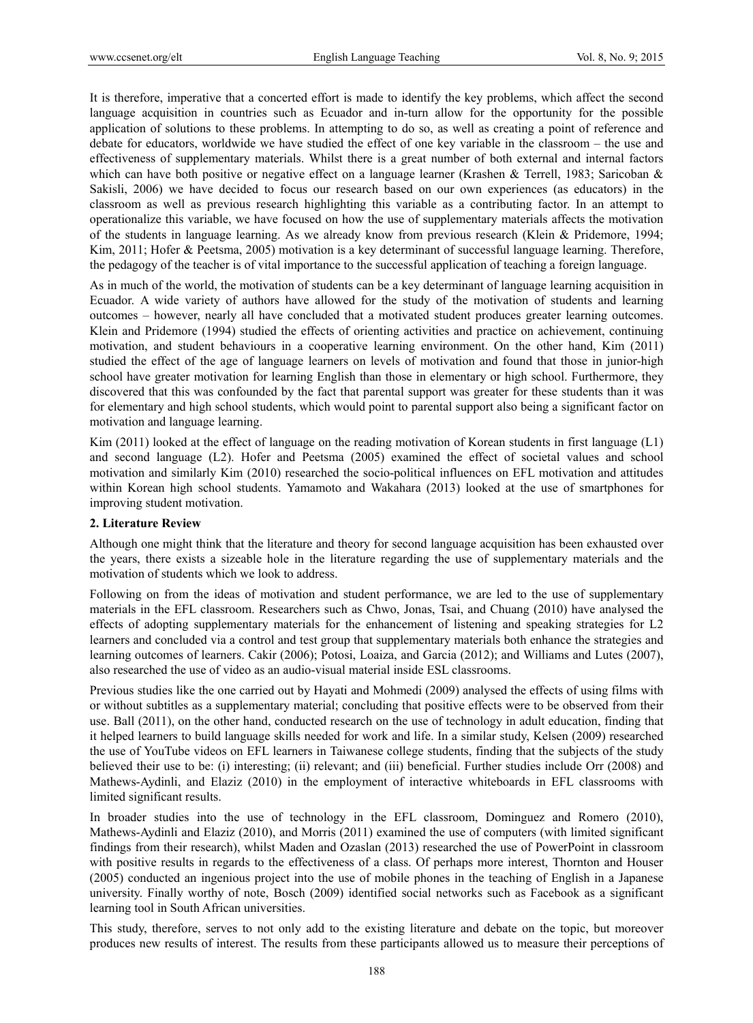It is therefore, imperative that a concerted effort is made to identify the key problems, which affect the second language acquisition in countries such as Ecuador and in-turn allow for the opportunity for the possible application of solutions to these problems. In attempting to do so, as well as creating a point of reference and debate for educators, worldwide we have studied the effect of one key variable in the classroom – the use and effectiveness of supplementary materials. Whilst there is a great number of both external and internal factors which can have both positive or negative effect on a language learner (Krashen & Terrell, 1983; Saricoban & Sakisli, 2006) we have decided to focus our research based on our own experiences (as educators) in the classroom as well as previous research highlighting this variable as a contributing factor. In an attempt to operationalize this variable, we have focused on how the use of supplementary materials affects the motivation of the students in language learning. As we already know from previous research (Klein & Pridemore, 1994; Kim, 2011; Hofer & Peetsma, 2005) motivation is a key determinant of successful language learning. Therefore, the pedagogy of the teacher is of vital importance to the successful application of teaching a foreign language.

As in much of the world, the motivation of students can be a key determinant of language learning acquisition in Ecuador. A wide variety of authors have allowed for the study of the motivation of students and learning outcomes – however, nearly all have concluded that a motivated student produces greater learning outcomes. Klein and Pridemore (1994) studied the effects of orienting activities and practice on achievement, continuing motivation, and student behaviours in a cooperative learning environment. On the other hand, Kim (2011) studied the effect of the age of language learners on levels of motivation and found that those in junior-high school have greater motivation for learning English than those in elementary or high school. Furthermore, they discovered that this was confounded by the fact that parental support was greater for these students than it was for elementary and high school students, which would point to parental support also being a significant factor on motivation and language learning.

Kim (2011) looked at the effect of language on the reading motivation of Korean students in first language (L1) and second language (L2). Hofer and Peetsma (2005) examined the effect of societal values and school motivation and similarly Kim (2010) researched the socio-political influences on EFL motivation and attitudes within Korean high school students. Yamamoto and Wakahara (2013) looked at the use of smartphones for improving student motivation.

#### **2. Literature Review**

Although one might think that the literature and theory for second language acquisition has been exhausted over the years, there exists a sizeable hole in the literature regarding the use of supplementary materials and the motivation of students which we look to address.

Following on from the ideas of motivation and student performance, we are led to the use of supplementary materials in the EFL classroom. Researchers such as Chwo, Jonas, Tsai, and Chuang (2010) have analysed the effects of adopting supplementary materials for the enhancement of listening and speaking strategies for L2 learners and concluded via a control and test group that supplementary materials both enhance the strategies and learning outcomes of learners. Cakir (2006); Potosi, Loaiza, and Garcia (2012); and Williams and Lutes (2007), also researched the use of video as an audio-visual material inside ESL classrooms.

Previous studies like the one carried out by Hayati and Mohmedi (2009) analysed the effects of using films with or without subtitles as a supplementary material; concluding that positive effects were to be observed from their use. Ball (2011), on the other hand, conducted research on the use of technology in adult education, finding that it helped learners to build language skills needed for work and life. In a similar study, Kelsen (2009) researched the use of YouTube videos on EFL learners in Taiwanese college students, finding that the subjects of the study believed their use to be: (i) interesting; (ii) relevant; and (iii) beneficial. Further studies include Orr (2008) and Mathews-Aydinli, and Elaziz (2010) in the employment of interactive whiteboards in EFL classrooms with limited significant results.

In broader studies into the use of technology in the EFL classroom, Dominguez and Romero (2010), Mathews-Aydinli and Elaziz (2010), and Morris (2011) examined the use of computers (with limited significant findings from their research), whilst Maden and Ozaslan (2013) researched the use of PowerPoint in classroom with positive results in regards to the effectiveness of a class. Of perhaps more interest, Thornton and Houser (2005) conducted an ingenious project into the use of mobile phones in the teaching of English in a Japanese university. Finally worthy of note, Bosch (2009) identified social networks such as Facebook as a significant learning tool in South African universities.

This study, therefore, serves to not only add to the existing literature and debate on the topic, but moreover produces new results of interest. The results from these participants allowed us to measure their perceptions of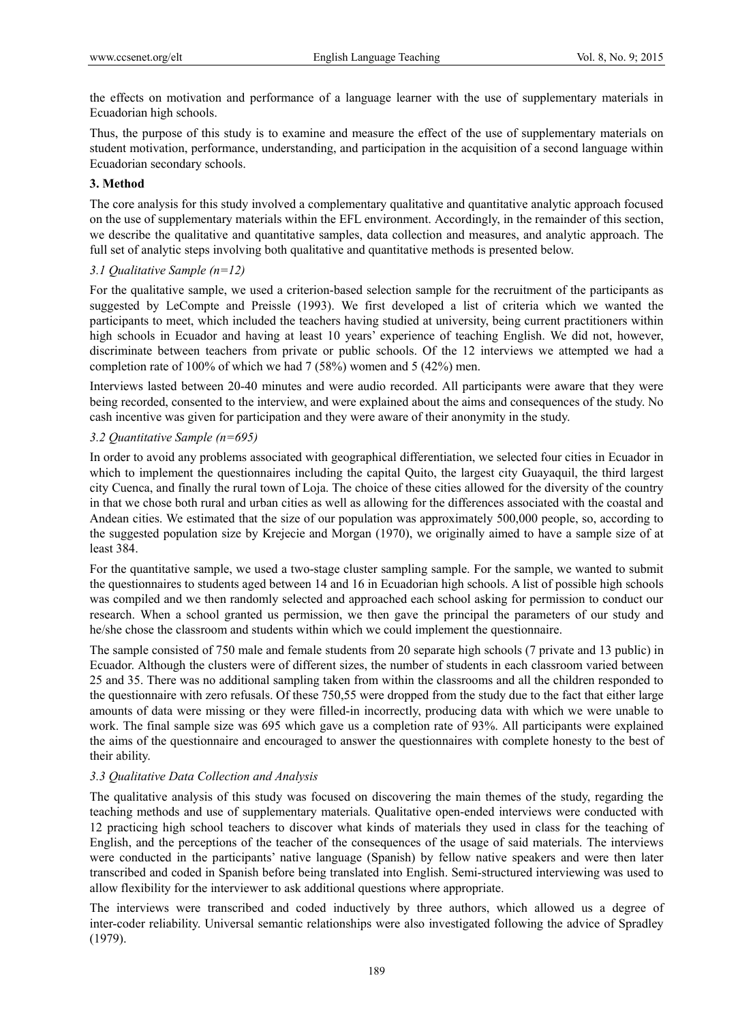the effects on motivation and performance of a language learner with the use of supplementary materials in Ecuadorian high schools.

Thus, the purpose of this study is to examine and measure the effect of the use of supplementary materials on student motivation, performance, understanding, and participation in the acquisition of a second language within Ecuadorian secondary schools.

# **3. Method**

The core analysis for this study involved a complementary qualitative and quantitative analytic approach focused on the use of supplementary materials within the EFL environment. Accordingly, in the remainder of this section, we describe the qualitative and quantitative samples, data collection and measures, and analytic approach. The full set of analytic steps involving both qualitative and quantitative methods is presented below.

# *3.1 Qualitative Sample (n=12)*

For the qualitative sample, we used a criterion-based selection sample for the recruitment of the participants as suggested by LeCompte and Preissle (1993). We first developed a list of criteria which we wanted the participants to meet, which included the teachers having studied at university, being current practitioners within high schools in Ecuador and having at least 10 years' experience of teaching English. We did not, however, discriminate between teachers from private or public schools. Of the 12 interviews we attempted we had a completion rate of 100% of which we had 7 (58%) women and 5 (42%) men.

Interviews lasted between 20-40 minutes and were audio recorded. All participants were aware that they were being recorded, consented to the interview, and were explained about the aims and consequences of the study. No cash incentive was given for participation and they were aware of their anonymity in the study.

# *3.2 Quantitative Sample (n=695)*

In order to avoid any problems associated with geographical differentiation, we selected four cities in Ecuador in which to implement the questionnaires including the capital Quito, the largest city Guayaquil, the third largest city Cuenca, and finally the rural town of Loja. The choice of these cities allowed for the diversity of the country in that we chose both rural and urban cities as well as allowing for the differences associated with the coastal and Andean cities. We estimated that the size of our population was approximately 500,000 people, so, according to the suggested population size by Krejecie and Morgan (1970), we originally aimed to have a sample size of at least 384.

For the quantitative sample, we used a two-stage cluster sampling sample. For the sample, we wanted to submit the questionnaires to students aged between 14 and 16 in Ecuadorian high schools. A list of possible high schools was compiled and we then randomly selected and approached each school asking for permission to conduct our research. When a school granted us permission, we then gave the principal the parameters of our study and he/she chose the classroom and students within which we could implement the questionnaire.

The sample consisted of 750 male and female students from 20 separate high schools (7 private and 13 public) in Ecuador. Although the clusters were of different sizes, the number of students in each classroom varied between 25 and 35. There was no additional sampling taken from within the classrooms and all the children responded to the questionnaire with zero refusals. Of these 750,55 were dropped from the study due to the fact that either large amounts of data were missing or they were filled-in incorrectly, producing data with which we were unable to work. The final sample size was 695 which gave us a completion rate of 93%. All participants were explained the aims of the questionnaire and encouraged to answer the questionnaires with complete honesty to the best of their ability.

## *3.3 Qualitative Data Collection and Analysis*

The qualitative analysis of this study was focused on discovering the main themes of the study, regarding the teaching methods and use of supplementary materials. Qualitative open-ended interviews were conducted with 12 practicing high school teachers to discover what kinds of materials they used in class for the teaching of English, and the perceptions of the teacher of the consequences of the usage of said materials. The interviews were conducted in the participants' native language (Spanish) by fellow native speakers and were then later transcribed and coded in Spanish before being translated into English. Semi-structured interviewing was used to allow flexibility for the interviewer to ask additional questions where appropriate.

The interviews were transcribed and coded inductively by three authors, which allowed us a degree of inter-coder reliability. Universal semantic relationships were also investigated following the advice of Spradley (1979).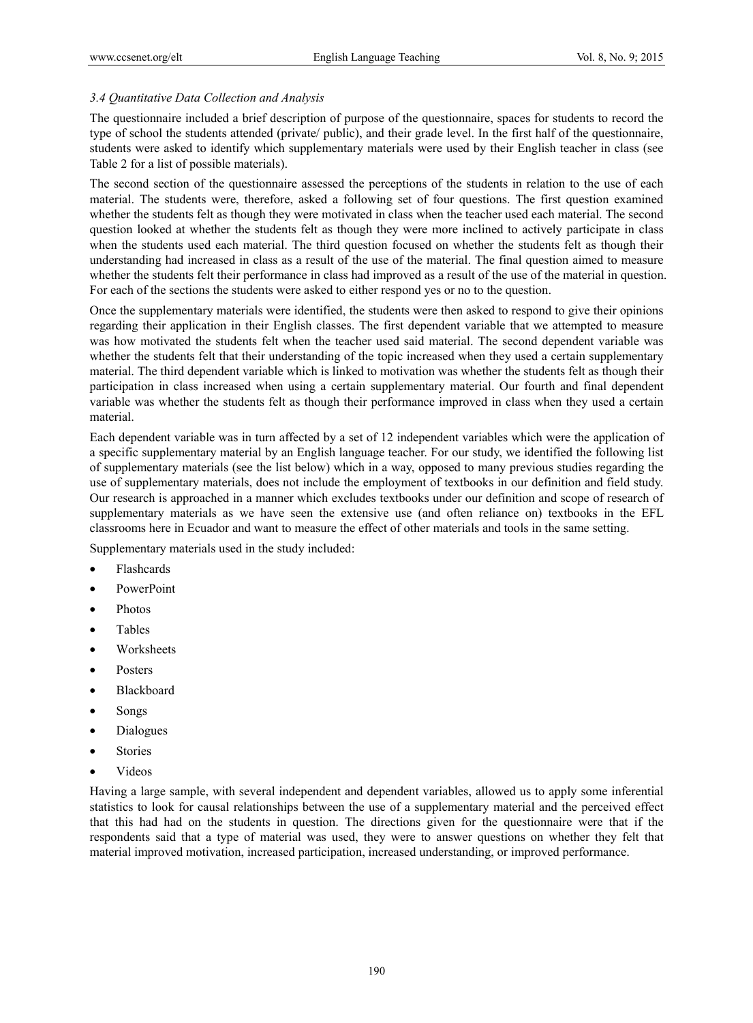# *3.4 Quantitative Data Collection and Analysis*

The questionnaire included a brief description of purpose of the questionnaire, spaces for students to record the type of school the students attended (private/ public), and their grade level. In the first half of the questionnaire, students were asked to identify which supplementary materials were used by their English teacher in class (see Table 2 for a list of possible materials).

The second section of the questionnaire assessed the perceptions of the students in relation to the use of each material. The students were, therefore, asked a following set of four questions. The first question examined whether the students felt as though they were motivated in class when the teacher used each material. The second question looked at whether the students felt as though they were more inclined to actively participate in class when the students used each material. The third question focused on whether the students felt as though their understanding had increased in class as a result of the use of the material. The final question aimed to measure whether the students felt their performance in class had improved as a result of the use of the material in question. For each of the sections the students were asked to either respond yes or no to the question.

Once the supplementary materials were identified, the students were then asked to respond to give their opinions regarding their application in their English classes. The first dependent variable that we attempted to measure was how motivated the students felt when the teacher used said material. The second dependent variable was whether the students felt that their understanding of the topic increased when they used a certain supplementary material. The third dependent variable which is linked to motivation was whether the students felt as though their participation in class increased when using a certain supplementary material. Our fourth and final dependent variable was whether the students felt as though their performance improved in class when they used a certain material.

Each dependent variable was in turn affected by a set of 12 independent variables which were the application of a specific supplementary material by an English language teacher. For our study, we identified the following list of supplementary materials (see the list below) which in a way, opposed to many previous studies regarding the use of supplementary materials, does not include the employment of textbooks in our definition and field study. Our research is approached in a manner which excludes textbooks under our definition and scope of research of supplementary materials as we have seen the extensive use (and often reliance on) textbooks in the EFL classrooms here in Ecuador and want to measure the effect of other materials and tools in the same setting.

Supplementary materials used in the study included:

- Flashcards
- PowerPoint
- Photos
- Tables
- Worksheets
- Posters
- Blackboard
- Songs
- Dialogues
- Stories
- Videos

Having a large sample, with several independent and dependent variables, allowed us to apply some inferential statistics to look for causal relationships between the use of a supplementary material and the perceived effect that this had had on the students in question. The directions given for the questionnaire were that if the respondents said that a type of material was used, they were to answer questions on whether they felt that material improved motivation, increased participation, increased understanding, or improved performance.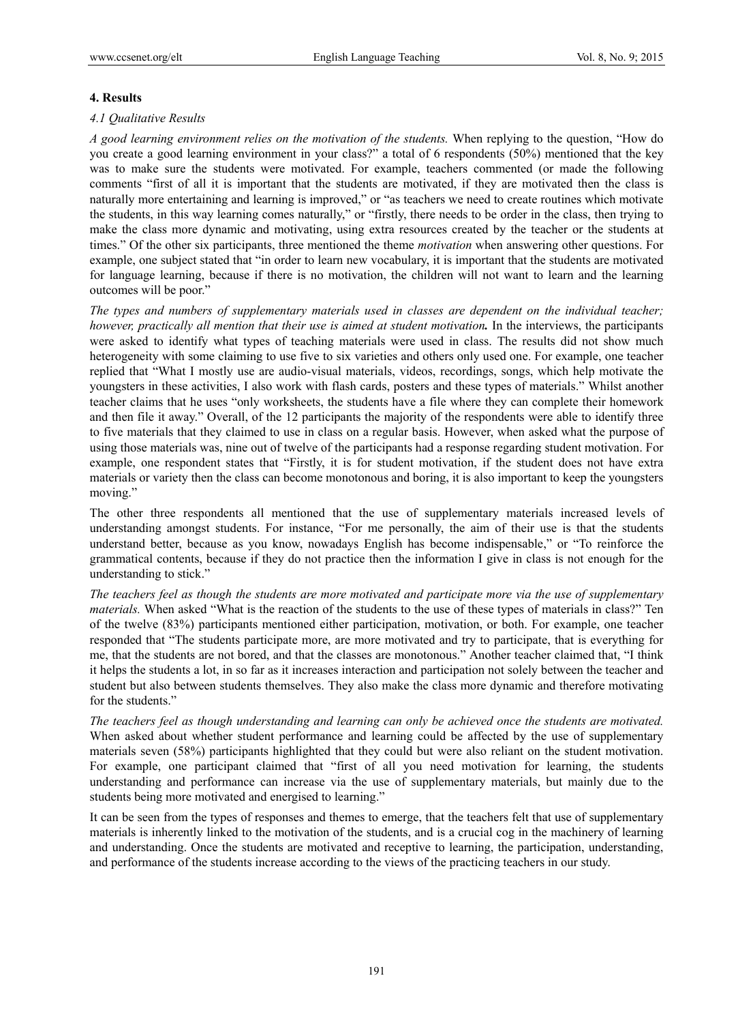#### **4. Results**

#### *4.1 Qualitative Results*

*A good learning environment relies on the motivation of the students.* When replying to the question, "How do you create a good learning environment in your class?" a total of 6 respondents (50%) mentioned that the key was to make sure the students were motivated. For example, teachers commented (or made the following comments "first of all it is important that the students are motivated, if they are motivated then the class is naturally more entertaining and learning is improved," or "as teachers we need to create routines which motivate the students, in this way learning comes naturally," or "firstly, there needs to be order in the class, then trying to make the class more dynamic and motivating, using extra resources created by the teacher or the students at times." Of the other six participants, three mentioned the theme *motivation* when answering other questions. For example, one subject stated that "in order to learn new vocabulary, it is important that the students are motivated for language learning, because if there is no motivation, the children will not want to learn and the learning outcomes will be poor."

*The types and numbers of supplementary materials used in classes are dependent on the individual teacher; however, practically all mention that their use is aimed at student motivation.* In the interviews, the participants were asked to identify what types of teaching materials were used in class. The results did not show much heterogeneity with some claiming to use five to six varieties and others only used one. For example, one teacher replied that "What I mostly use are audio-visual materials, videos, recordings, songs, which help motivate the youngsters in these activities, I also work with flash cards, posters and these types of materials." Whilst another teacher claims that he uses "only worksheets, the students have a file where they can complete their homework and then file it away." Overall, of the 12 participants the majority of the respondents were able to identify three to five materials that they claimed to use in class on a regular basis. However, when asked what the purpose of using those materials was, nine out of twelve of the participants had a response regarding student motivation. For example, one respondent states that "Firstly, it is for student motivation, if the student does not have extra materials or variety then the class can become monotonous and boring, it is also important to keep the youngsters moving."

The other three respondents all mentioned that the use of supplementary materials increased levels of understanding amongst students. For instance, "For me personally, the aim of their use is that the students understand better, because as you know, nowadays English has become indispensable," or "To reinforce the grammatical contents, because if they do not practice then the information I give in class is not enough for the understanding to stick."

*The teachers feel as though the students are more motivated and participate more via the use of supplementary materials.* When asked "What is the reaction of the students to the use of these types of materials in class?" Ten of the twelve (83%) participants mentioned either participation, motivation, or both. For example, one teacher responded that "The students participate more, are more motivated and try to participate, that is everything for me, that the students are not bored, and that the classes are monotonous." Another teacher claimed that, "I think it helps the students a lot, in so far as it increases interaction and participation not solely between the teacher and student but also between students themselves. They also make the class more dynamic and therefore motivating for the students."

*The teachers feel as though understanding and learning can only be achieved once the students are motivated.* When asked about whether student performance and learning could be affected by the use of supplementary materials seven (58%) participants highlighted that they could but were also reliant on the student motivation. For example, one participant claimed that "first of all you need motivation for learning, the students understanding and performance can increase via the use of supplementary materials, but mainly due to the students being more motivated and energised to learning."

It can be seen from the types of responses and themes to emerge, that the teachers felt that use of supplementary materials is inherently linked to the motivation of the students, and is a crucial cog in the machinery of learning and understanding. Once the students are motivated and receptive to learning, the participation, understanding, and performance of the students increase according to the views of the practicing teachers in our study.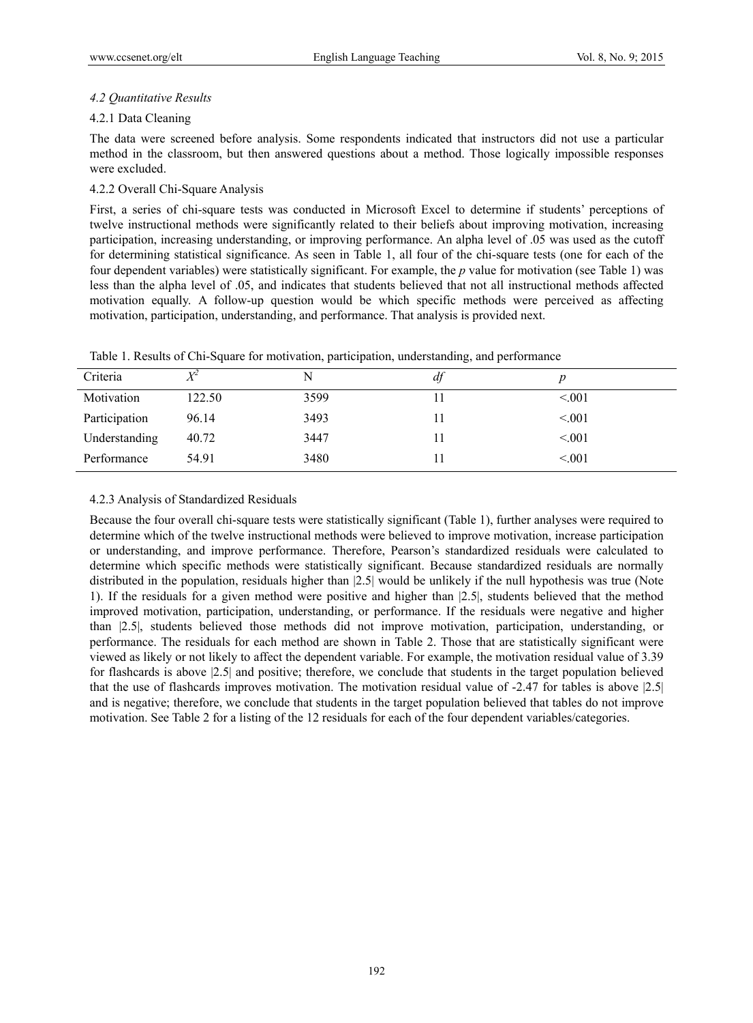## *4.2 Quantitative Results*

## 4.2.1 Data Cleaning

The data were screened before analysis. Some respondents indicated that instructors did not use a particular method in the classroom, but then answered questions about a method. Those logically impossible responses were excluded.

# 4.2.2 Overall Chi-Square Analysis

First, a series of chi-square tests was conducted in Microsoft Excel to determine if students' perceptions of twelve instructional methods were significantly related to their beliefs about improving motivation, increasing participation, increasing understanding, or improving performance. An alpha level of .05 was used as the cutoff for determining statistical significance. As seen in Table 1, all four of the chi-square tests (one for each of the four dependent variables) were statistically significant. For example, the *p* value for motivation (see Table 1) was less than the alpha level of .05, and indicates that students believed that not all instructional methods affected motivation equally. A follow-up question would be which specific methods were perceived as affecting motivation, participation, understanding, and performance. That analysis is provided next.

|               |        | .    |       |        |
|---------------|--------|------|-------|--------|
| Criteria      | $X^2$  | N    | $\mu$ |        |
| Motivation    | 122.50 | 3599 |       | < 001  |
| Participation | 96.14  | 3493 |       | < 0.01 |
| Understanding | 40.72  | 3447 |       | < 0.01 |
| Performance   | 54.91  | 3480 |       | < 0.01 |

Table 1. Results of Chi-Square for motivation, participation, understanding, and performance

## 4.2.3 Analysis of Standardized Residuals

Because the four overall chi-square tests were statistically significant (Table 1), further analyses were required to determine which of the twelve instructional methods were believed to improve motivation, increase participation or understanding, and improve performance. Therefore, Pearson's standardized residuals were calculated to determine which specific methods were statistically significant. Because standardized residuals are normally distributed in the population, residuals higher than |2.5| would be unlikely if the null hypothesis was true (Note 1). If the residuals for a given method were positive and higher than |2.5|, students believed that the method improved motivation, participation, understanding, or performance. If the residuals were negative and higher than |2.5|, students believed those methods did not improve motivation, participation, understanding, or performance. The residuals for each method are shown in Table 2. Those that are statistically significant were viewed as likely or not likely to affect the dependent variable. For example, the motivation residual value of 3.39 for flashcards is above |2.5| and positive; therefore, we conclude that students in the target population believed that the use of flashcards improves motivation. The motivation residual value of -2.47 for tables is above |2.5| and is negative; therefore, we conclude that students in the target population believed that tables do not improve motivation. See Table 2 for a listing of the 12 residuals for each of the four dependent variables/categories.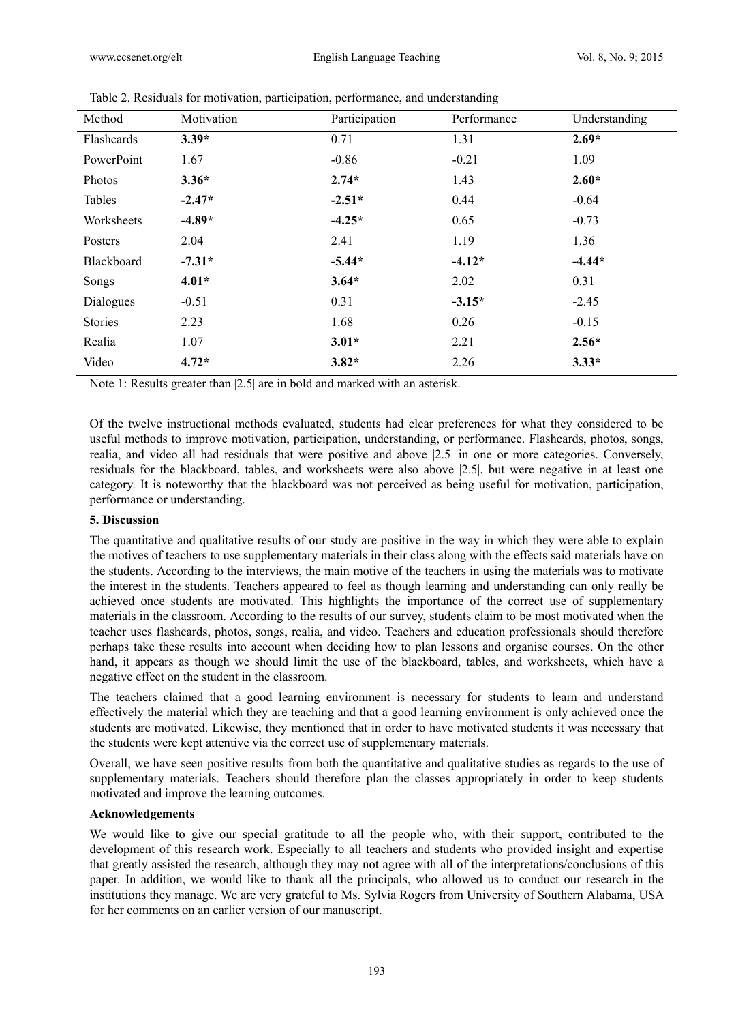| Method     | Motivation | Participation | Performance | Understanding |
|------------|------------|---------------|-------------|---------------|
| Flashcards | $3.39*$    | 0.71          | 1.31        | $2.69*$       |
| PowerPoint | 1.67       | $-0.86$       | $-0.21$     | 1.09          |
| Photos     | $3.36*$    | $2.74*$       | 1.43        | $2.60*$       |
| Tables     | $-2.47*$   | $-2.51*$      | 0.44        | $-0.64$       |
| Worksheets | $-4.89*$   | $-4.25*$      | 0.65        | $-0.73$       |
| Posters    | 2.04       | 2.41          | 1.19        | 1.36          |
| Blackboard | $-7.31*$   | $-5.44*$      | $-4.12*$    | $-4.44*$      |
| Songs      | $4.01*$    | $3.64*$       | 2.02        | 0.31          |
| Dialogues  | $-0.51$    | 0.31          | $-3.15*$    | $-2.45$       |
| Stories    | 2.23       | 1.68          | 0.26        | $-0.15$       |
| Realia     | 1.07       | $3.01*$       | 2.21        | $2.56*$       |
| Video      | $4.72*$    | $3.82*$       | 2.26        | $3.33*$       |

Table 2. Residuals for motivation, participation, performance, and understanding

Note 1: Results greater than |2.5| are in bold and marked with an asterisk.

Of the twelve instructional methods evaluated, students had clear preferences for what they considered to be useful methods to improve motivation, participation, understanding, or performance. Flashcards, photos, songs, realia, and video all had residuals that were positive and above |2.5| in one or more categories. Conversely, residuals for the blackboard, tables, and worksheets were also above |2.5|, but were negative in at least one category. It is noteworthy that the blackboard was not perceived as being useful for motivation, participation, performance or understanding.

#### **5. Discussion**

The quantitative and qualitative results of our study are positive in the way in which they were able to explain the motives of teachers to use supplementary materials in their class along with the effects said materials have on the students. According to the interviews, the main motive of the teachers in using the materials was to motivate the interest in the students. Teachers appeared to feel as though learning and understanding can only really be achieved once students are motivated. This highlights the importance of the correct use of supplementary materials in the classroom. According to the results of our survey, students claim to be most motivated when the teacher uses flashcards, photos, songs, realia, and video. Teachers and education professionals should therefore perhaps take these results into account when deciding how to plan lessons and organise courses. On the other hand, it appears as though we should limit the use of the blackboard, tables, and worksheets, which have a negative effect on the student in the classroom.

The teachers claimed that a good learning environment is necessary for students to learn and understand effectively the material which they are teaching and that a good learning environment is only achieved once the students are motivated. Likewise, they mentioned that in order to have motivated students it was necessary that the students were kept attentive via the correct use of supplementary materials.

Overall, we have seen positive results from both the quantitative and qualitative studies as regards to the use of supplementary materials. Teachers should therefore plan the classes appropriately in order to keep students motivated and improve the learning outcomes.

### **Acknowledgements**

We would like to give our special gratitude to all the people who, with their support, contributed to the development of this research work. Especially to all teachers and students who provided insight and expertise that greatly assisted the research, although they may not agree with all of the interpretations/conclusions of this paper. In addition, we would like to thank all the principals, who allowed us to conduct our research in the institutions they manage. We are very grateful to Ms. Sylvia Rogers from University of Southern Alabama, USA for her comments on an earlier version of our manuscript.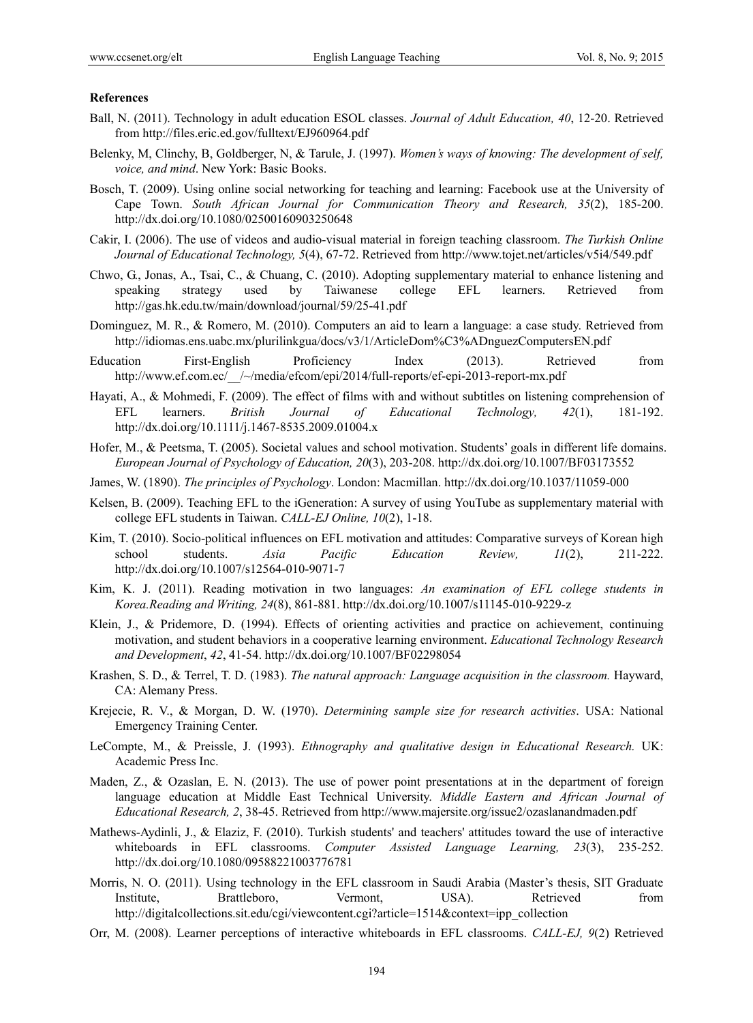#### **References**

- Ball, N. (2011). Technology in adult education ESOL classes. *Journal of Adult Education, 40*, 12-20. Retrieved from http://files.eric.ed.gov/fulltext/EJ960964.pdf
- Belenky, M, Clinchy, B, Goldberger, N, & Tarule, J. (1997). *Women's ways of knowing: The development of self, voice, and mind*. New York: Basic Books.
- Bosch, T. (2009). Using online social networking for teaching and learning: Facebook use at the University of Cape Town. *South African Journal for Communication Theory and Research, 35*(2), 185-200. http://dx.doi.org/10.1080/02500160903250648
- Cakir, I. (2006). The use of videos and audio-visual material in foreign teaching classroom. *The Turkish Online Journal of Educational Technology, 5*(4), 67-72. Retrieved from http://www.tojet.net/articles/v5i4/549.pdf
- Chwo, G., Jonas, A., Tsai, C., & Chuang, C. (2010). Adopting supplementary material to enhance listening and speaking strategy used by Taiwanese college EFL learners. Retrieved from http://gas.hk.edu.tw/main/download/journal/59/25-41.pdf
- Dominguez, M. R., & Romero, M. (2010). Computers an aid to learn a language: a case study. Retrieved from http://idiomas.ens.uabc.mx/plurilinkgua/docs/v3/1/ArticleDom%C3%ADnguezComputersEN.pdf
- Education First-English Proficiency Index (2013). Retrieved from http://www.ef.com.ec/\_\_/~/media/efcom/epi/2014/full-reports/ef-epi-2013-report-mx.pdf
- Hayati, A., & Mohmedi, F. (2009). The effect of films with and without subtitles on listening comprehension of EFL learners. *British Journal of Educational Technology, 42*(1), 181-192. http://dx.doi.org/10.1111/j.1467-8535.2009.01004.x
- Hofer, M., & Peetsma, T. (2005). Societal values and school motivation. Students' goals in different life domains. *European Journal of Psychology of Education, 20*(3), 203-208. http://dx.doi.org/10.1007/BF03173552
- James, W. (1890). *The principles of Psychology*. London: Macmillan. http://dx.doi.org/10.1037/11059-000
- Kelsen, B. (2009). Teaching EFL to the iGeneration: A survey of using YouTube as supplementary material with college EFL students in Taiwan. *CALL-EJ Online, 10*(2), 1-18.
- Kim, T. (2010). Socio-political influences on EFL motivation and attitudes: Comparative surveys of Korean high school students. *Asia Pacific Education Review, 11*(2), 211-222. http://dx.doi.org/10.1007/s12564-010-9071-7
- Kim, K. J. (2011). Reading motivation in two languages: *An examination of EFL college students in Korea.Reading and Writing, 24*(8), 861-881. http://dx.doi.org/10.1007/s11145-010-9229-z
- Klein, J., & Pridemore, D. (1994). Effects of orienting activities and practice on achievement, continuing motivation, and student behaviors in a cooperative learning environment. *Educational Technology Research and Development*, *42*, 41-54. http://dx.doi.org/10.1007/BF02298054
- Krashen, S. D., & Terrel, T. D. (1983). *The natural approach: Language acquisition in the classroom.* Hayward, CA: Alemany Press.
- Krejecie, R. V., & Morgan, D. W. (1970). *Determining sample size for research activities*. USA: National Emergency Training Center.
- LeCompte, M., & Preissle, J. (1993). *Ethnography and qualitative design in Educational Research.* UK: Academic Press Inc.
- Maden, Z., & Ozaslan, E. N. (2013). The use of power point presentations at in the department of foreign language education at Middle East Technical University. *Middle Eastern and African Journal of Educational Research, 2*, 38-45. Retrieved from http://www.majersite.org/issue2/ozaslanandmaden.pdf
- Mathews-Aydinli, J., & Elaziz, F. (2010). Turkish students' and teachers' attitudes toward the use of interactive whiteboards in EFL classrooms. *Computer Assisted Language Learning, 23*(3), 235-252. http://dx.doi.org/10.1080/09588221003776781
- Morris, N. O. (2011). Using technology in the EFL classroom in Saudi Arabia (Master's thesis, SIT Graduate Institute, Brattleboro, Vermont, USA). Retrieved from http://digitalcollections.sit.edu/cgi/viewcontent.cgi?article=1514&context=ipp\_collection
- Orr, M. (2008). Learner perceptions of interactive whiteboards in EFL classrooms. *CALL-EJ, 9*(2) Retrieved